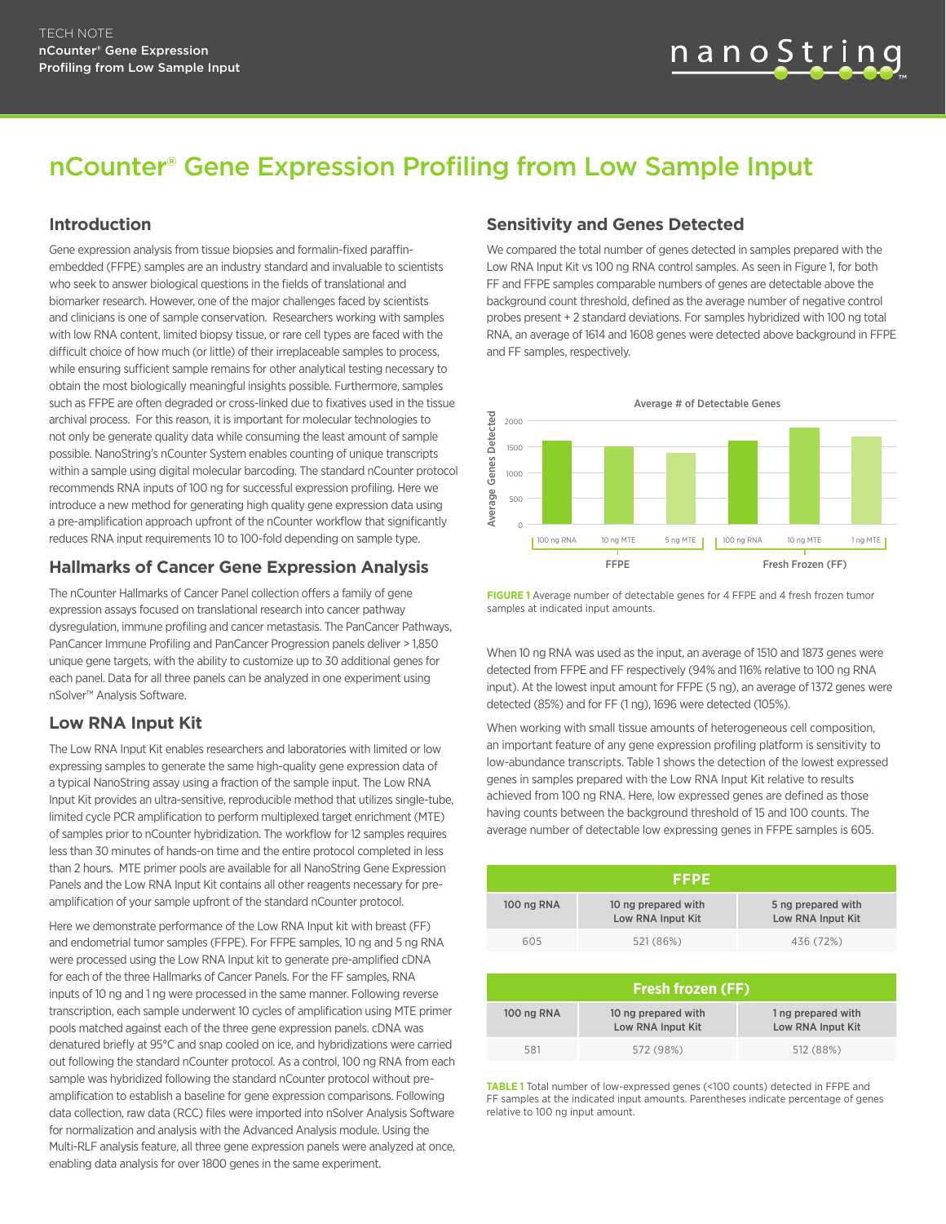# nCounter® Gene Expression Profiling from Low Sample Input

#### **Introduction**

Gene expression analysis from tissue biopsies and formalin-fixed paraffinembedded (FFPE) samples are an industry standard and invaluable to scientists who seek to answer biological questions in the fields of translational and biomarker research. However, one of the major challenges faced by scientists and clinicians is one of sample conservation. Researchers working with samples with low RNA content, limited biopsy tissue, or rare cell types are faced with the difficult choice of how much (or little) of their irreplaceable samples to process, while ensuring sufficient sample remains for other analytical testing necessary to obtain the most biologically meaningful insights possible. Furthermore, samples such as FFPE are often degraded or cross-linked due to fixatives used in the tissue archival process. For this reason, it is important for molecular technologies to not only be generate quality data while consuming the least amount of sample possible. NanoString's nCounter System enables counting of unique transcripts within a sample using digital molecular barcoding. The standard nCounter protocol recommends RNA inputs of 100 ng for successful expression profiling. Here we introduce a new method for generating high quality gene expression data using a pre-amplification approach upfront of the nCounter workflow that significantly reduces RNA input requirements 10 to 100-fold depending on sample type.

#### **Hallmarks of Cancer Gene Expression Analysis**

The nCounter Hallmarks of Cancer Panel collection offers a family of gene expression assays focused on translational research into cancer pathway dysregulation, immune profiling and cancer metastasis. The PanCancer Pathways, PanCancer Immune Profiling and PanCancer Progression panels deliver > 1,850 unique gene targets, with the ability to customize up to 30 additional genes for each panel. Data for all three panels can be analyzed in one experiment using nSolver™ Analysis Software.

#### **Low RNA Input Kit**

The Low RNA Input Kit enables researchers and laboratories with limited or low expressing samples to generate the same high-quality gene expression data of a typical NanoString assay using a fraction of the sample input. The Low RNA Input Kit provides an ultra-sensitive, reproducible method that utilizes single-tube, limited cycle PCR amplification to perform multiplexed target enrichment (MTE) of samples prior to nCounter hybridization. The workflow for 12 samples requires less than 30 minutes of hands-on time and the entire protocol completed in less than 2 hours. MTE primer pools are available for all NanoString Gene Expression Panels and the Low RNA Input Kit contains all other reagents necessary for preamplification of your sample upfront of the standard nCounter protocol.

Here we demonstrate performance of the Low RNA Input kit with breast (FF) and endometrial tumor samples (FFPE). For FFPE samples, 10 ng and 5 ng RNA were processed using the Low RNA Input kit to generate pre-amplified cDNA for each of the three Hallmarks of Cancer Panels. For the FF samples, RNA inputs of 10 ng and 1 ng were processed in the same manner. Following reverse transcription, each sample underwent 10 cycles of amplification using MTE primer pools matched against each of the three gene expression panels. cDNA was denatured briefly at 95°C and snap cooled on ice, and hybridizations were carried out following the standard nCounter protocol. As a control, 100 ng RNA from each sample was hybridized following the standard nCounter protocol without preamplification to establish a baseline for gene expression comparisons. Following data collection, raw data (RCC) files were imported into nSolver Analysis Software for normalization and analysis with the Advanced Analysis module. Using the Multi-RLF analysis feature, all three gene expression panels were analyzed at once, enabling data analysis for over 1800 genes in the same experiment.

#### **Sensitivity and Genes Detected**

We compared the total number of genes detected in samples prepared with the Low RNA Input Kit vs 100 ng RNA control samples. As seen in Figure 1, for both FF and FFPE samples comparable numbers of genes are detectable above the background count threshold, defined as the average number of negative control probes present + 2 standard deviations. For samples hybridized with 100 ng total RNA, an average of 1614 and 1608 genes were detected above background in FFPE and FF samples, respectively.



**FIGURE 1** Average number of detectable genes for 4 FFPE and 4 fresh frozen tumor samples at indicated input amounts.

When 10 ng RNA was used as the input, an average of 1510 and 1873 genes were detected from FFPE and FF respectively (94% and 116% relative to 100 ng RNA input). At the lowest input amount for FFPE (5 ng), an average of 1372 genes were detected (85%) and for FF (1 ng), 1696 were detected (105%).

When working with small tissue amounts of heterogeneous cell composition, an important feature of any gene expression profiling platform is sensitivity to low-abundance transcripts. Table 1 shows the detection of the lowest expressed genes in samples prepared with the Low RNA Input Kit relative to results achieved from 100 ng RNA. Here, low expressed genes are defined as those having counts between the background threshold of 15 and 100 counts. The average number of detectable low expressing genes in FFPE samples is 605.

|            | FFPE                                     |                                         |
|------------|------------------------------------------|-----------------------------------------|
| 100 ng RNA | 10 ng prepared with<br>Low RNA Input Kit | 5 ng prepared with<br>Low RNA Input Kit |
| 605        | 521 (86%)                                | 436 (72%)                               |

| <b>Fresh frozen (FF)</b> |                                          |                                         |  |
|--------------------------|------------------------------------------|-----------------------------------------|--|
| 100 ng RNA               | 10 ng prepared with<br>Low RNA Input Kit | 1 ng prepared with<br>Low RNA Input Kit |  |
| 581                      | 572 (98%)                                | 512 (88%)                               |  |

**TABLE 1** Total number of low-expressed genes (<100 counts) detected in FFPE and FF samples at the indicated input amounts. Parentheses indicate percentage of genes relative to 100 ng input amount.